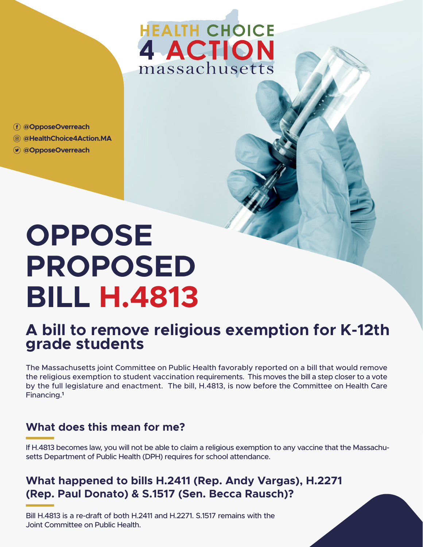## **HEALTH CHOICE 4 ACTION** massachusetts

**@OpposeOverreach**

- **@HealthChoice4Action.MA**
- **@OpposeOverreach**

# **OPPOSE PROPOSED BILL H.4813**

### **A bill to remove religious exemption for K-12th grade students**

The Massachusetts joint Committee on Public Health favorably reported on a bill that would remove the religious exemption to student vaccination requirements. This moves the bill a step closer to a vote by the full legislature and enactment. The bill, H.4813, is now before the Committee on Health Care Financing.**<sup>1</sup>**

#### **What does this mean for me?**

If H.4813 becomes law, you will not be able to claim a religious exemption to any vaccine that the Massachusetts Department of Public Health (DPH) requires for school attendance.

#### **What happened to bills H.2411 (Rep. Andy Vargas), H.2271 (Rep. Paul Donato) & S.1517 (Sen. Becca Rausch)?**

Bill H.4813 is a re-draft of both H.2411 and H.2271. S.1517 remains with the Joint Committee on Public Health.